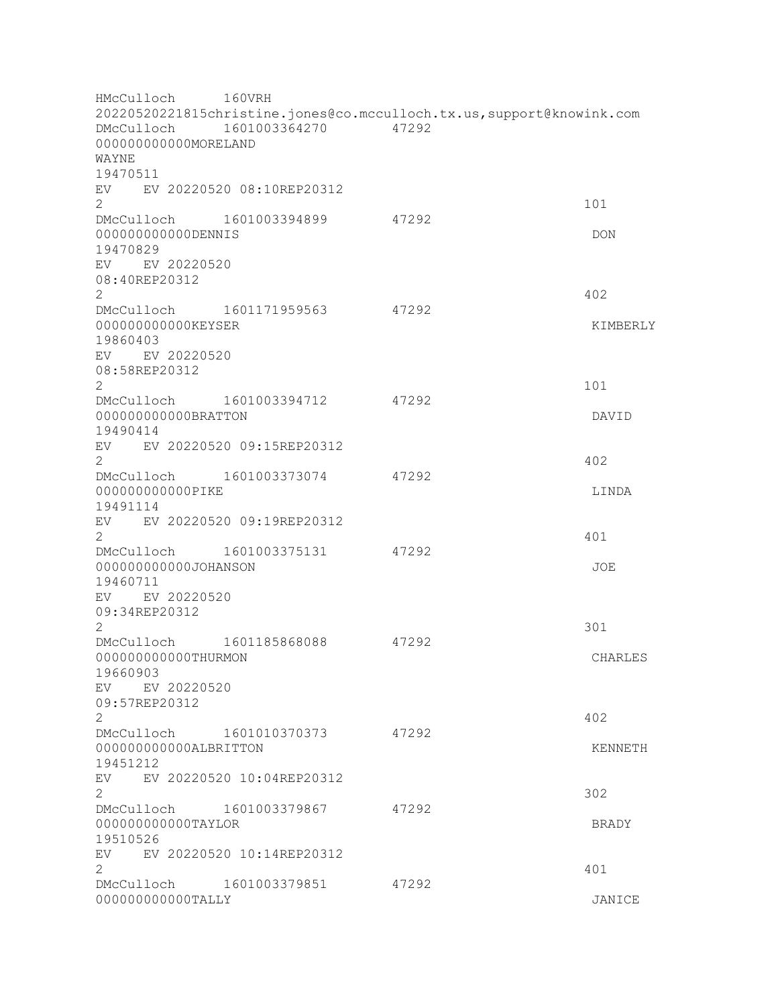HMcCulloch 160VRH 20220520221815christine.jones@co.mcculloch.tx.us,support@knowink.com DMcCulloch 1601003364270 47292 000000000000MORELAND WAYNE 19470511 EV EV 20220520 08:10REP20312  $2 \t 101$ DMcCulloch 1601003394899 47292 0000000000000DENNIS DON DON DON 19470829 EV EV 20220520 08:40REP20312 2 402 DMcCulloch 1601171959563 47292 000000000000KEYSER KIMBERLY 19860403 EV EV 20220520 08:58REP20312  $2 \t 101$ DMcCulloch 1601003394712 47292 000000000000BRATTON DAVID 19490414 EV EV 20220520 09:15REP20312  $2 \times 402$ DMcCulloch 1601003373074 47292 00000000000000PIKE LINDA 19491114 EV EV 20220520 09:19REP20312  $2 \times 401$ DMcCulloch 1601003375131 47292 000000000000JOHANSON JOE 19460711 EV EV 20220520 09:34REP20312  $2 \times 301$ DMcCulloch 1601185868088 47292 0000000000000THURMON CHARLES 19660903 EV EV 20220520 09:57REP20312  $2 \times 402$ DMcCulloch 1601010370373 47292 000000000000ALBRITTON KENNETH 19451212 EV EV 20220520 10:04REP20312 2 302 DMcCulloch 1601003379867 47292 000000000000TAYLOR BRADY 19510526 EV EV 20220520 10:14REP20312  $2 \times 401$ DMcCulloch 1601003379851 47292 000000000000TALLY JANICE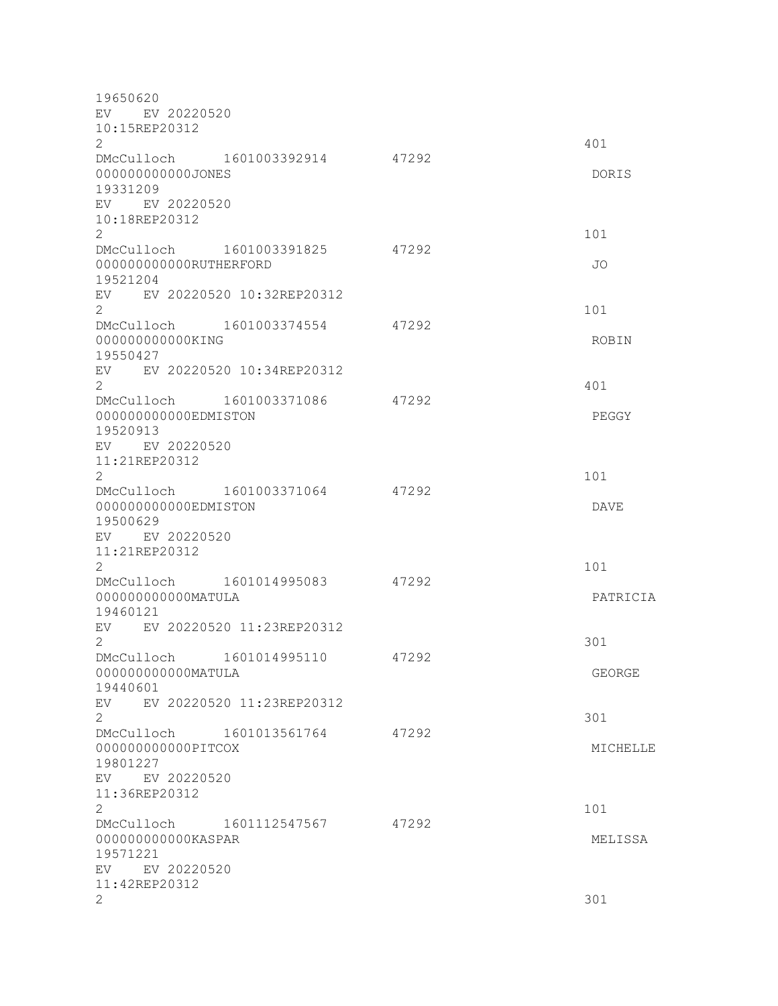| 19650620                         |       |          |
|----------------------------------|-------|----------|
| EV EV 20220520                   |       |          |
| 10:15REP20312                    |       |          |
| $\overline{2}$                   |       | 401      |
| DMcCulloch 1601003392914 47292   |       |          |
| 000000000000JONES                |       | DORIS    |
| 19331209                         |       |          |
| EV EV 20220520<br>10:18REP20312  |       |          |
| $\overline{2}$                   |       | 101      |
| DMcCulloch 1601003391825         | 47292 |          |
| 000000000000RUTHERFORD           |       | JO       |
| 19521204                         |       |          |
| EV EV 20220520 10:32REP20312     |       |          |
| $\overline{2}$                   |       | 101      |
| DMcCulloch 1601003374554 47292   |       |          |
| 000000000000KING                 |       | ROBIN    |
| 19550427                         |       |          |
| EV EV 20220520 10:34REP20312     |       |          |
| $\mathbf{2}^{\prime}$            |       | 401      |
| DMcCulloch 1601003371086         | 47292 |          |
| 000000000000EDMISTON             |       | PEGGY    |
| 19520913                         |       |          |
| EV EV 20220520                   |       |          |
| 11:21REP20312                    |       |          |
| $\mathbf{2}^{\prime}$            |       | 101      |
| DMcCulloch 1601003371064         | 47292 |          |
| 000000000000EDMISTON<br>19500629 |       | DAVE     |
| EV EV 20220520                   |       |          |
| 11:21REP20312                    |       |          |
| 2                                |       | 101      |
| DMcCulloch 1601014995083         | 47292 |          |
| 00000000000MATULA                |       | PATRICIA |
| 19460121                         |       |          |
| EV EV 20220520 11:23REP20312     |       |          |
| 2                                |       | 301      |
| 1601014995110<br>DMcCulloch      | 47292 |          |
| 00000000000MATULA                |       | GEORGE   |
| 19440601                         |       |          |
| EV EV 20220520 11:23REP20312     |       |          |
| $\overline{2}$                   |       | 301      |
| DMcCulloch 1601013561764         | 47292 |          |
| 000000000000PITCOX               |       | MICHELLE |
| 19801227                         |       |          |
| EV EV 20220520<br>11:36REP20312  |       |          |
| 2                                |       | 101      |
| DMcCulloch 1601112547567         | 47292 |          |
| 000000000000KASPAR               |       | MELISSA  |
| 19571221                         |       |          |
| EV EV 20220520                   |       |          |
| 11:42REP20312                    |       |          |
| 2                                |       | 301      |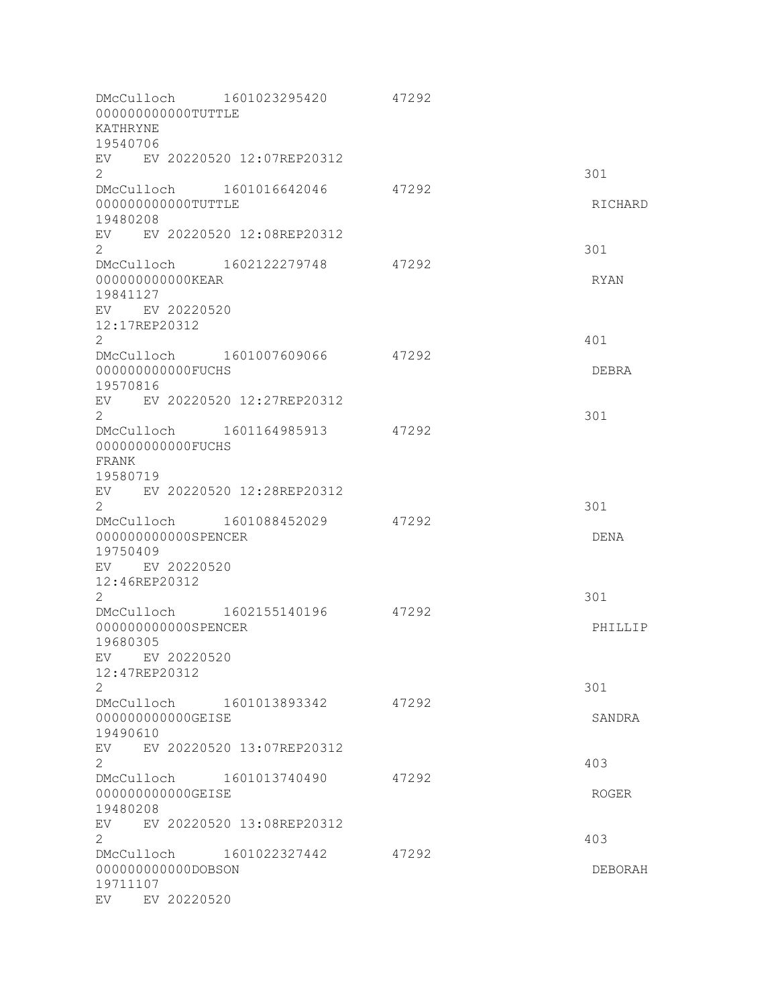| 000000000000TUTTLE<br>KATHRYNE<br>19540706                                                                                                           | DMcCulloch 1601023295420  | 47292 |                |
|------------------------------------------------------------------------------------------------------------------------------------------------------|---------------------------|-------|----------------|
| EV EV 20220520 12:07REP20312<br>$\mathbf{2}^{\prime}$                                                                                                |                           |       | 301            |
| DMcCulloch 1601016642046<br>000000000000TUTTLE                                                                                                       |                           | 47292 | RICHARD        |
| 19480208<br>EV EV 20220520 12:08REP20312<br>$\overline{2}$                                                                                           |                           |       | 301            |
| DMcCulloch 1602122279748<br>000000000000KEAR<br>19841127<br>EV EV 20220520                                                                           |                           | 47292 | RYAN           |
| 12:17REP20312<br>$\mathbf{2}^{\prime}$<br>DMcCulloch 1601007609066<br>00000000000FUCHS<br>19570816                                                   |                           | 47292 | 401<br>DEBRA   |
| EV EV 20220520 12:27REP20312<br>$\overline{2}$<br>000000000000FUCHS                                                                                  | DMcCulloch 1601164985913  | 47292 | 301            |
| FRANK<br>19580719<br>EV EV 20220520 12:28REP20312<br>$\overline{2}$<br>DMcCulloch 1601088452029<br>000000000000SPENCER<br>19750409<br>EV EV 20220520 |                           | 47292 | 301<br>DENA    |
| 12:46REP20312<br>2<br>DMcCulloch 1602155140196<br>000000000000SPENCER<br>19680305<br>EV 20220520<br>EV                                               |                           | 47292 | 301<br>PHILLIP |
| 12:47REP20312<br>$\mathbf{2}$<br>00000000000GEISE<br>19490610                                                                                        | DMcCulloch 1601013893342  | 47292 | 301<br>SANDRA  |
| EV<br>2<br>DMcCulloch 1601013740490<br>00000000000GEISE<br>19480208                                                                                  | EV 20220520 13:07REP20312 | 47292 | 403<br>ROGER   |
| EV<br>$\mathbf{2}^{\prime}$<br>DMcCulloch 1601022327442<br>000000000000DOBSON<br>19711107<br>EV 20220520<br><b>EV</b>                                | EV 20220520 13:08REP20312 | 47292 | 403<br>DEBORAH |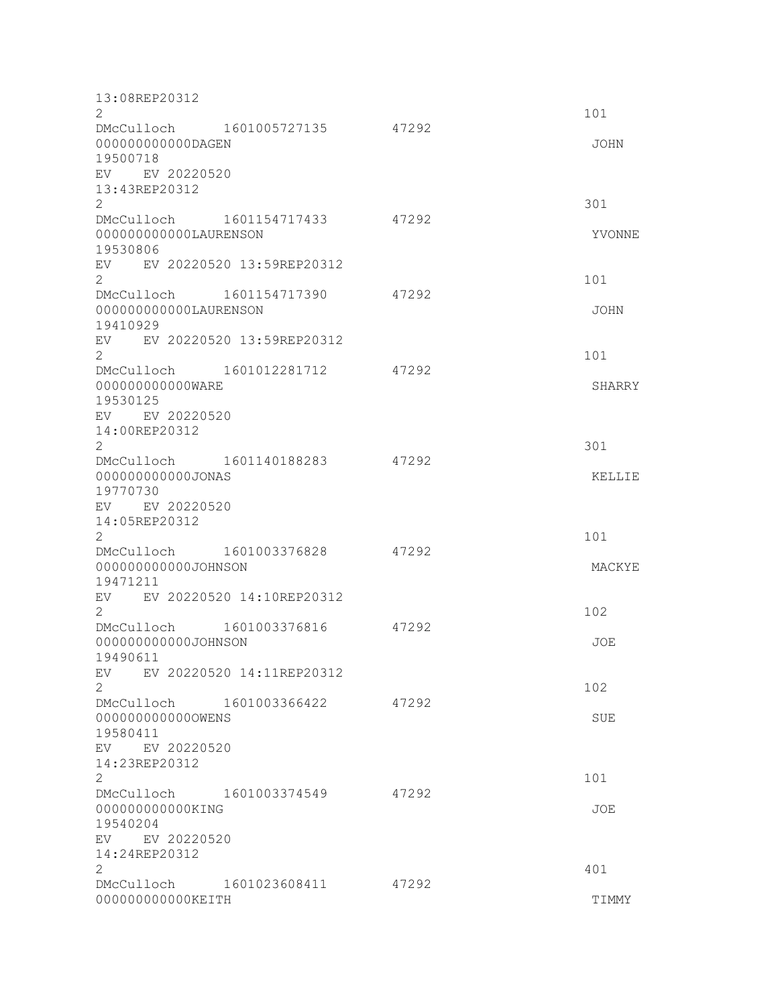| 13:08REP20312<br>$\overline{2}$   |                              |       | 101    |
|-----------------------------------|------------------------------|-------|--------|
|                                   | DMcCulloch 1601005727135     | 47292 |        |
| 00000000000DAGEN<br>19500718      |                              |       | JOHN   |
| EV EV 20220520<br>13:43REP20312   |                              |       |        |
| $\mathbf{2}^{\prime}$             |                              |       | 301    |
| 000000000000LAURENSON             | DMcCulloch 1601154717433     | 47292 |        |
| 19530806                          |                              |       | YVONNE |
| $\mathbf{2}^{\prime}$             | EV EV 20220520 13:59REP20312 |       | 101    |
|                                   | DMcCulloch 1601154717390     | 47292 |        |
| 000000000000LAURENSON<br>19410929 |                              |       | JOHN   |
| 2                                 | EV EV 20220520 13:59REP20312 |       | 101    |
| 000000000000WARE                  | DMcCulloch 1601012281712     | 47292 |        |
| 19530125                          |                              |       | SHARRY |
| EV EV 20220520                    |                              |       |        |
| 14:00REP20312<br>2                |                              |       | 301    |
|                                   | DMcCulloch 1601140188283     | 47292 |        |
| 000000000000JONAS<br>19770730     |                              |       | KELLIE |
| EV EV 20220520                    |                              |       |        |
| 14:05REP20312                     |                              |       |        |
| 2                                 | DMcCulloch 1601003376828     | 47292 | 101    |
| 000000000000JOHNSON<br>19471211   |                              |       | MACKYE |
| EV                                | EV 20220520 14:10REP20312    |       |        |
| 2                                 | DMcCulloch 1601003376816     | 47292 | 102    |
| 000000000000JOHNSON               |                              |       | JOE    |
| 19490611                          |                              |       |        |
| EV<br>$\mathbf{2}$                | EV 20220520 14:11REP20312    |       | 102    |
|                                   | DMcCulloch 1601003366422     | 47292 |        |
| 0000000000000WENS<br>19580411     |                              |       | SUE    |
| EV EV 20220520                    |                              |       |        |
| 14:23REP20312                     |                              |       |        |
| 2                                 | DMcCulloch 1601003374549     | 47292 | 101    |
| 000000000000KING                  |                              |       | JOE    |
| 19540204                          |                              |       |        |
| EV EV 20220520<br>14:24REP20312   |                              |       |        |
| $\mathbf{2}^{\prime}$             |                              |       | 401    |
|                                   | DMcCulloch 1601023608411     | 47292 |        |
| 000000000000KEITH                 |                              |       | TIMMY  |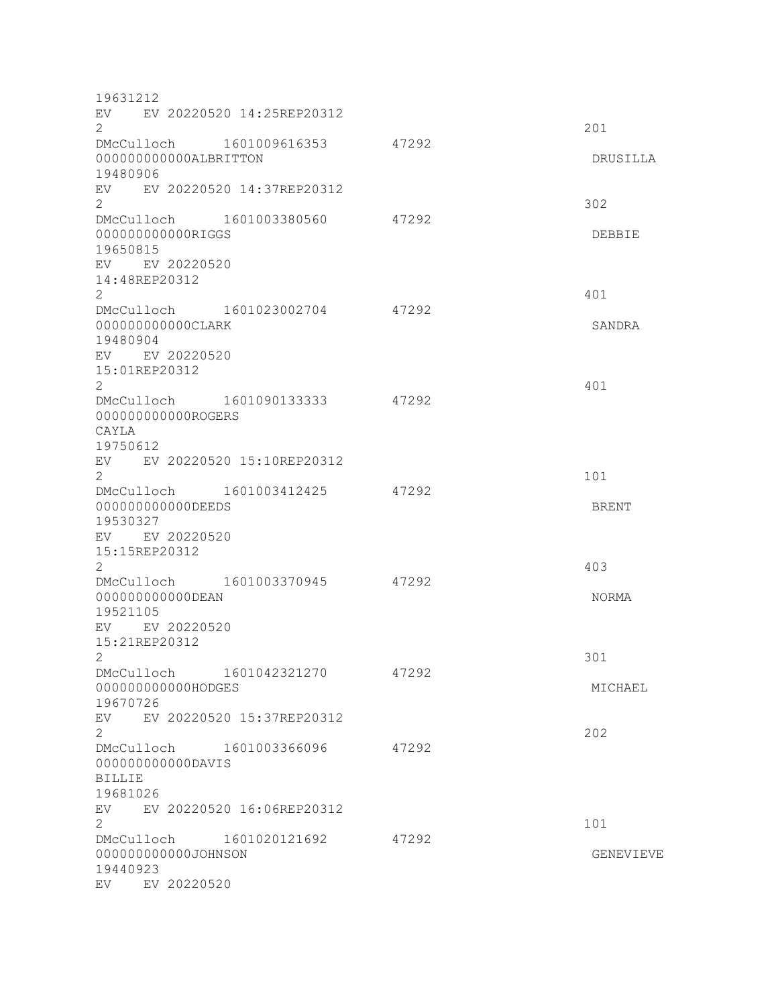| 19631212                                       |       |           |
|------------------------------------------------|-------|-----------|
| EV EV 20220520 14:25REP20312<br>$\overline{2}$ |       | 201       |
| DMcCulloch 1601009616353                       | 47292 |           |
| 000000000000ALBRITTON                          |       | DRUSILLA  |
| 19480906                                       |       |           |
| EV EV 20220520 14:37REP20312<br>$\overline{2}$ |       | 302       |
| DMcCulloch 1601003380560                       | 47292 |           |
| 00000000000RIGGS                               |       | DEBBIE    |
| 19650815                                       |       |           |
| EV EV 20220520                                 |       |           |
| 14:48REP20312                                  |       |           |
| $\overline{2}$                                 |       | 401       |
| DMcCulloch 1601023002704<br>000000000000CLARK  | 47292 | SANDRA    |
| 19480904                                       |       |           |
| EV EV 20220520                                 |       |           |
| 15:01REP20312                                  |       |           |
| $\overline{2}$                                 |       | 401       |
| DMcCulloch 1601090133333                       | 47292 |           |
| 00000000000ROGERS                              |       |           |
| CAYLA                                          |       |           |
| 19750612                                       |       |           |
| EV EV 20220520 15:10REP20312                   |       |           |
| $\mathbf{2}^{\prime}$                          |       | 101       |
| DMcCulloch 1601003412425                       | 47292 |           |
| 00000000000DEEDS<br>19530327                   |       | BRENT     |
| EV EV 20220520                                 |       |           |
| 15:15REP20312                                  |       |           |
| 2                                              |       | 403       |
| DMcCulloch 1601003370945                       | 47292 |           |
| 00000000000DEAN                                |       | NORMA     |
| 19521105                                       |       |           |
| EV EV 20220520                                 |       |           |
| 15:21REP20312                                  |       |           |
| 2                                              |       | 301       |
| DMcCulloch 1601042321270                       | 47292 |           |
| 000000000000HODGES                             |       | MICHAEL   |
| 19670726<br>EV 20220520 15:37REP20312<br>EV    |       |           |
| $\overline{2}$                                 |       | 202       |
| DMcCulloch 1601003366096                       | 47292 |           |
| 00000000000DAVIS                               |       |           |
| <b>BILLIE</b>                                  |       |           |
| 19681026                                       |       |           |
| EV EV 20220520 16:06REP20312                   |       |           |
| $\overline{2}$                                 |       | 101       |
| DMcCulloch 1601020121692                       | 47292 |           |
| 000000000000JOHNSON                            |       | GENEVIEVE |
| 19440923                                       |       |           |
| EV EV 20220520                                 |       |           |